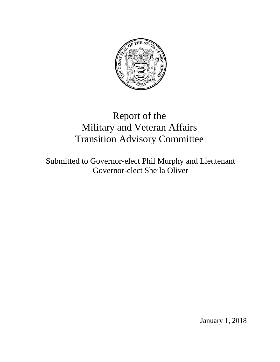

# Report of the Military and Veteran Affairs Transition Advisory Committee

Submitted to Governor-elect Phil Murphy and Lieutenant Governor-elect Sheila Oliver

January 1, 2018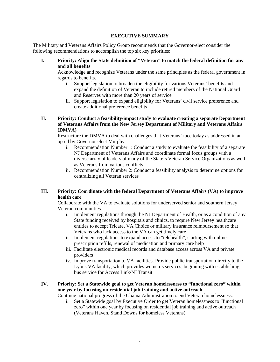#### **EXECUTIVE SUMMARY**

The Military and Veterans Affairs Policy Group recommends that the Governor-elect consider the following recommendations to accomplish the top six key priorities:

**I. Priority: Align the State definition of "Veteran" to match the federal definition for any and all benefits**

Acknowledge and recognize Veterans under the same principles as the federal government in regards to benefits.

- i. Support legislation to broaden the eligibility for various Veterans' benefits and expand the definition of Veteran to include retired members of the National Guard and Reserves with more than 20 years of service
- ii. Support legislation to expand eligibility for Veterans' civil service preference and create additional preference benefits
- **II. Priority: Conduct a feasibility/impact study to evaluate creating a separate Department of Veterans Affairs from the New Jersey Department of Military and Veterans Affairs (DMVA)**

Restructure the DMVA to deal with challenges that Veterans' face today as addressed in an op-ed by Governor-elect Murphy.

- i. Recommendation Number 1: Conduct a study to evaluate the feasibility of a separate NJ Department of Veterans Affairs and coordinate formal focus groups with a diverse array of leaders of many of the State's Veteran Service Organizations as well as Veterans from various conflicts
- ii. Recommendation Number 2: Conduct a feasibility analysis to determine options for centralizing all Veteran services

## **III. Priority: Coordinate with the federal Department of Veterans Affairs (VA) to improve health care**

Collaborate with the VA to evaluate solutions for underserved senior and southern Jersey Veteran communities.

- i. Implement regulations through the NJ Department of Health, or as a condition of any State funding received by hospitals and clinics, to require New Jersey healthcare entities to accept Tricare, VA Choice or military insurance reimbursement so that Veterans who lack access to the VA can get timely care
- ii. Implement regulations to expand access to "telehealth", starting with online prescription refills, renewal of medication and primary care help
- iii. Facilitate electronic medical records and database access across VA and private providers
- iv. Improve transportation to VA facilities. Provide public transportation directly to the Lyons VA facility, which provides women's services, beginning with establishing bus service for Access Link/NJ Transit

## **IV. Priority***:* **Set a Statewide goal to get Veteran homelessness to "functional zero" within one year by focusing on residential job training and active outreach**

Continue national progress of the Obama Administration to end Veteran homelessness.

i. Set a Statewide goal by Executive Order to get Veteran homelessness to "functional zero" within one year by focusing on residential job training and active outreach (Veterans Haven, Stand Downs for homeless Veterans)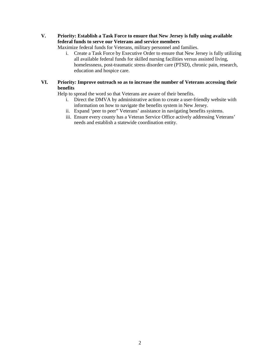**V. Priority: Establish a Task Force to ensure that New Jersey is fully using available federal funds to serve our Veterans and service members**

Maximize federal funds for Veterans, military personnel and families.

i. Create a Task Force by Executive Order to ensure that New Jersey is fully utilizing all available federal funds for skilled nursing facilities versus assisted living, homelessness, post-traumatic stress disorder care (PTSD), chronic pain, research, education and hospice care.

## **VI. Priority***:* **Improve outreach so as to increase the number of Veterans accessing their benefits**

Help to spread the word so that Veterans are aware of their benefits.

- i. Direct the DMVA by administrative action to create a user-friendly website with information on how to navigate the benefits system in New Jersey.
- ii. Expand 'peer to peer" Veterans' assistance in navigating benefits systems.
- iii. Ensure every county has a Veteran Service Office actively addressing Veterans' needs and establish a statewide coordination entity.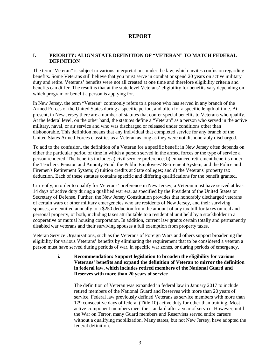## **REPORT**

## **I. PRIORITY: ALIGN STATE DEFINITION OF "VETERAN" TO MATCH FEDERAL DEFINITION**

The term "Veteran" is subject to various interpretations under the law, which invites confusion regarding benefits. Some Veterans still believe that you must serve in combat or spend 20 years on active military duty and retire. Veterans' benefits were not all created at one time and therefore eligibility criteria and benefits can differ. The result is that at the state level Veterans' eligibility for benefits vary depending on which program or benefit a person is applying for.

In New Jersey, the term "Veteran" commonly refers to a person who has served in any branch of the Armed Forces of the United States during a specific period, and often for a specific length of time. At present, in New Jersey there are a number of statutes that confer special benefits to Veterans who qualify. At the federal level, on the other hand, the statutes define a "Veteran" as a person who served in the active military, naval, or air service and who was discharged or released under conditions other than dishonorable. This definition means that any individual that completed service for any branch of the United States Armed Forces classifies as a Veteran as long as they were not dishonorably discharged.

To add to the confusion, the definition of a Veteran for a specific benefit in New Jersey often depends on either the particular period of time in which a person served in the armed forces or the type of service a person rendered. The benefits include: a) civil service preference; b) enhanced retirement benefits under the Teachers' Pension and Annuity Fund, the Public Employees' Retirement System, and the Police and Firemen's Retirement System; c) tuition credits at State colleges; and d) the Veterans' property tax deduction. Each of these statutes contains specific and differing qualifications for the benefit granted.

Currently, in order to qualify for Veterans' preference in New Jersey, a Veteran must have served at least 14 days of active duty during a qualified war era, as specified by the President of the United States or Secretary of Defense. Further, the New Jersey Constitution provides that honorably discharged veterans of certain wars or other military emergencies who are residents of New Jersey, and their surviving spouses, are entitled annually to a \$250 deduction from the amount of any tax bill for taxes on real and personal property, or both, including taxes attributable to a residential unit held by a stockholder in a cooperative or mutual housing corporation. In addition, current law grants certain totally and permanently disabled war veterans and their surviving spouses a full exemption from property taxes.

Veteran Service Organizations, such as the Veterans of Foreign Wars and others support broadening the eligibility for various Veterans' benefits by eliminating the requirement that to be considered a veteran a person must have served during periods of war, in specific war zones, or during periods of emergency.

> **i. Recommendation: Support legislation to broaden the eligibility for various Veterans' benefits and expand the definition of Veteran to mirror the definition in federal law, which includes retired members of the National Guard and Reserves with more than 20 years of service**

The definition of Veteran was expanded in federal law in January 2017 to include retired members of the National Guard and Reserves with more than 20 years of service. Federal law previously defined Veterans as service members with more than 179 consecutive days of federal (Title 10) active duty for other than training. Most active-component members meet the standard after a year of service. However, until the War on Terror, many Guard members and Reservists served entire careers without a qualifying mobilization. Many states, but not New Jersey, have adopted the federal definition.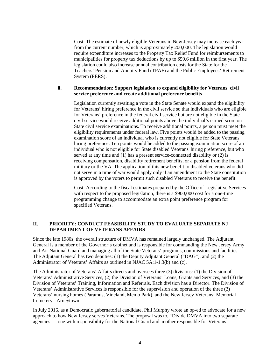Cost: The estimate of newly eligible Veterans in New Jersey may increase each year from the current number, which is approximately 200,000. The legislation would require expenditure increases to the Property Tax Relief Fund for reimbursements to municipalities for property tax deductions by up to \$59.6 million in the first year. The legislation could also increase annual contribution costs for the State for the Teachers' Pension and Annuity Fund (TPAF) and the Public Employees' Retirement System (PERS).

#### **ii. Recommendation: Support legislation to expand eligibility for Veterans' civil service preference and create additional preference benefits**

Legislation currently awaiting a vote in the State Senate would expand the eligibility for Veterans' hiring preference in the civil service so that individuals who are eligible for Veterans' preference in the federal civil service but are not eligible in the State civil service would receive additional points above the individual's earned score on State civil service examinations. To receive additional points, a person must meet the eligibility requirements under federal law. Five points would be added to the passing examination score of an individual who is currently not eligible for State Veterans' hiring preference. Ten points would be added to the passing examination score of an individual who is not eligible for State disabled Veterans' hiring preference, but who served at any time and (1) has a present service-connected disability or (2) is receiving compensation, disability retirement benefits, or a pension from the federal military or the VA. The application of this new benefit to disabled veterans who did not serve in a time of war would apply only if an amendment to the State constitution is approved by the voters to permit such disabled Veterans to receive the benefit.

Cost: According to the fiscal estimates prepared by the Office of Legislative Services with respect to the proposed legislation, there is a \$900,000 cost for a one-time programming change to accommodate an extra point preference program for specified Veterans.

## **II. PRIORITY: CONDUCT FEASIBILITY STUDY TO EVALUATE SEPARATE NJ DEPARTMENT OF VETERANS AFFAIRS**

Since the late 1980s, the overall structure of DMVA has remained largely unchanged. The Adjutant General is a member of the Governor's cabinet and is responsible for commanding the New Jersey Army and Air National Guard and managing all of the State Veterans' programs, commissions and facilities. The Adjutant General has two deputies: (1) the Deputy Adjutant General ("DAG"), and (2) the Administrator of Veterans' Affairs as outlined in NJAC 5A:1-1.3(b) and (c).

The Administrator of Veterans' Affairs directs and oversees three (3) divisions: (1) the Division of Veterans' Administrative Services, (2) the Division of Veterans' Loans, Grants and Services, and (3) the Division of Veterans' Training, Information and Referrals. Each division has a Director. The Division of Veterans' Administrative Services is responsible for the supervision and operation of the three (3) Veterans' nursing homes (Paramus, Vineland, Menlo Park), and the New Jersey Veterans' Memorial Cemetery - Arneytown.

In July 2016, as a Democratic gubernatorial candidate, Phil Murphy wrote an op-ed to advocate for a new approach to how New Jersey serves Veterans. The proposal was to, "Divide DMVA into two separate agencies — one with responsibility for the National Guard and another responsible for Veterans.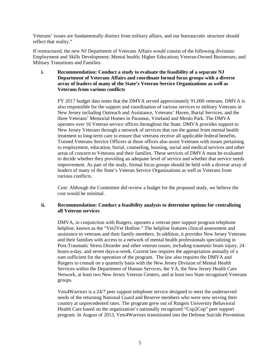Veterans' issues are fundamentally distinct from military affairs, and our bureaucratic structure should reflect that reality."

If restructured, the new NJ Department of Veterans Affairs would consist of the following divisions: Employment and Skills Development; Mental health; Higher Education**;** Veteran-Owned Businesses; and Military Transitions and Families.

**i. Recommendation: Conduct a study to evaluate the feasibility of a separate NJ Department of Veterans Affairs and coordinate formal focus groups with a diverse array of leaders of many of the State's Veteran Service Organizations as well as Veterans from various conflicts**

FY 2017 budget data notes that the DMVA served approximately 91,000 veterans. DMVA is also responsible for the support and coordination of various services to military Veterans in New Jersey including Outreach and Assistance, Veterans' Haven, Burial Services, and the three Veterans' Memorial Homes in Paramus, Vineland and Menlo Park. The DMVA operates over 16 Veteran service offices throughout the State. DMVA provides support to New Jersey Veterans through a network of services that run the gamut from mental health treatment to long-term care to ensure that veterans receive all applicable federal benefits. Trained Veterans Service Officers at those offices also assist Veterans with issues pertaining to employment, education, burial, counseling, housing, social and medical services and other areas of concern to Veterans and their families. These services of DMVA must be evaluated to decide whether they providing an adequate level of service and whether that service needs improvement. As part of the study, formal focus groups should be held with a diverse array of leaders of many of the State's Veteran Service Organizations as well as Veterans from various conflicts.

Cost: Although the Committee did review a budget for the proposed study, we believe the cost would be minimal.

#### **ii. Recommendation: Conduct a feasibility analysis to determine options for centralizing all Veteran services**

DMVA, in conjunction with Rutgers, operates a veteran peer support program telephone helpline, known as the "Vet2Vet Hotline." The helpline features clinical assessment and assistance to veterans and their family members. In addition, it provides New Jersey Veterans and their families with access to a network of mental health professionals specializing in Post-Traumatic Stress Disorder and other veteran issues, including traumatic brain injury, 24 hours-a-day, and seven days-a-week. Current law requires the appropriation annually of a sum sufficient for the operation of the program. The law also requires the DMVA and Rutgers to consult on a quarterly basis with the New Jersey Division of Mental Health Services within the Department of Human Services, the VA, the New Jersey Health Care Network, at least two New Jersey Veteran Centers, and at least two State recognized Veterans groups.

Vets4Warriors is a 24/7 peer support telephone service designed to meet the underserved needs of the returning National Guard and Reserve members who were now serving their country at unprecedented rates. The program grew out of Rutgers University Behavioral Health Care based on the organization's nationally recognized "Cop2Cop" peer support program. In August of 2013, Vets4Warriors transitioned into the Defense Suicide Prevention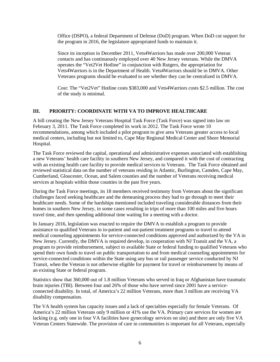Office (DSPO), a federal Department of Defense (DoD) program. When DoD cut support for the program in 2016, the legislature appropriated funds to maintain it.

Since its inception in December 2011, Vets4Warriors has made over 200,000 Veteran contacts and has continuously employed over 40 New Jersey veterans. While the DMVA operates the "Vet2Vet Hotline" in conjunction with Rutgers, the appropriation for Vets4Warriors is in the Department of Health. Vets4Warriors should be in DMVA. Other Veterans programs should be evaluated to see whether they can be centralized in DMVA.

Cost: The "Vet2Vet" Hotline costs \$383,000 and Vets4Warriors costs \$2.5 million. The cost of the study is minimal.

## **III. PRIORITY: COORDINATE WITH VA TO IMPROVE HEALTHCARE**

A bill creating the New Jersey Veterans Hospital Task Force (Task Force) was signed into law on February 3, 2011. The Task Force completed its work in 2012. The Task Force wrote 10 recommendations, among which included a pilot program to give area Veterans greater access to local medical centers, including but not limited to, Cape May Regional Medical Center and Shore Memorial Hospital.

The Task Force reviewed the capital, operational and administrative expenses associated with establishing a new Veterans' health care facility in southern New Jersey, and compared it with the cost of contracting with an existing health care facility to provide medical services to Veterans. The Task Force obtained and reviewed statistical data on the number of veterans residing in Atlantic, Burlington, Camden, Cape May, Cumberland, Gloucester, Ocean, and Salem counties and the number of Veterans receiving medical services at hospitals within those counties in the past five years.

During the Task Force meetings, its 18 members received testimony from Veterans about the significant challenges faced seeking healthcare and the demeaning process they had to go through to meet their healthcare needs. Some of the hardships mentioned included traveling considerable distances from their homes in southern New Jersey, in some cases resulting in trips of more than 100 miles and five hours travel time, and then spending additional time waiting for a meeting with a doctor.

In January 2016, legislation was enacted to require the DMVA to establish a program to provide assistance to qualified Veterans in in-patient and out-patient treatment programs to travel to attend medical counseling appointments for service-connected conditions approved and authorized by the VA in New Jersey. Currently, the DMVA is required develop, in cooperation with NJ Transit and the VA, a program to provide reimbursement, subject to available State or federal funding to qualified Veterans who spend their own funds to travel on public transportation to and from medical counseling appointments for service-connected conditions within the State using any bus or rail passenger service conducted by NJ Transit, when the Veteran is not otherwise eligible for payment for travel or reimbursement by means of an existing State or federal program.

Statistics show that 360,000 out of 1.8 million Veterans who served in Iraq or Afghanistan have traumatic brain injuries (TBI). Between four and 26% of those who have served since 2001 have a serviceconnected disability. In total, of America's 22 million Veterans, more than 3 million are receiving VA disability compensation.

The VA health system has capacity issues and a lack of specialties especially for female Veterans. Of America's 22 million Veterans only 9 million or 41% use the VA. Primary care services for women are lacking (e.g. only one in four VA facilities have gynecology services on site) and there are only five VA Veteran Centers Statewide. The provision of care in communities is important for all Veterans, especially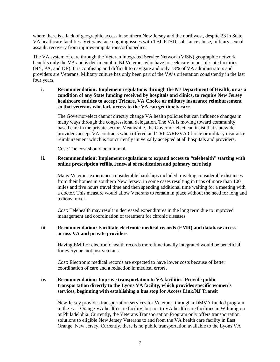where there is a lack of geographic access in southern New Jersey and the northwest, despite 23 in State VA healthcare facilities. Veterans face ongoing issues with TBI, PTSD, substance abuse, military sexual assault, recovery from injuries-amputations/orthopedics.

The VA system of care through the Veteran Integrated Service Network (VISN) geographic network benefits only the VA and is detrimental to NJ Veterans who have to seek care in out-of-state facilities (NY, PA, and DE). It is confusing and difficult to navigate and only 13% of VA administrators and providers are Veterans. Military culture has only been part of the VA's orientation consistently in the last four years.

**i. Recommendation: Implement regulations through the NJ Department of Health, or as a condition of any State funding received by hospitals and clinics, to require New Jersey healthcare entities to accept Tricare, VA Choice or military insurance reimbursement so that veterans who lack access to the VA can get timely care**

The Governor-elect cannot directly change VA health policies but can influence changes in many ways through the congressional delegation. The VA is moving toward community based care in the private sector. Meanwhile, the Governor-elect can insist that statewide providers accept VA contracts when offered and TRICARE/VA Choice or military insurance reimbursement which is not currently universally accepted at all hospitals and providers.

Cost: The cost should be minimal.

#### **ii. Recommendation: Implement regulations to expand access to "telehealth" starting with online prescription refills, renewal of medication and primary care help**

Many Veterans experience considerable hardships included traveling considerable distances from their homes in southern New Jersey, in some cases resulting in trips of more than 100 miles and five hours travel time and then spending additional time waiting for a meeting with a doctor. This measure would allow Veterans to remain in place without the need for long and tedious travel.

Cost: Telehealth may result in decreased expenditures in the long term due to improved management and coordination of treatment for chronic diseases.

#### **iii. Recommendation: Facilitate electronic medical records (EMR) and database access across VA and private providers**

Having EMR or electronic health records more functionally integrated would be beneficial for everyone, not just veterans.

Cost: Electronic medical records are expected to have lower costs because of better coordination of care and a reduction in medical errors.

#### **iv. Recommendation: Improve transportation to VA facilities. Provide public transportation directly to the Lyons VA facility, which provides specific women's services, beginning with establishing a bus stop for Access Link/NJ Transit**

New Jersey provides transportation services for Veterans, through a DMVA funded program, to the East Orange VA health care facility, but not to VA health care facilities in Wilmington or Philadelphia. Currently, the Veterans Transportation Program only offers transportation solutions to eligible New Jersey Veterans to and from the VA health care facility in East Orange, New Jersey. Currently, there is no public transportation available to the Lyons VA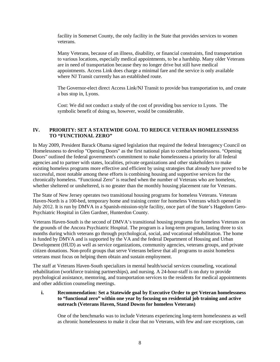facility in Somerset County, the only facility in the State that provides services to women veterans.

Many Veterans, because of an illness, disability, or financial constraints, find transportation to various locations, especially medical appointments, to be a hardship. Many older Veterans are in need of transportation because they no longer drive but still have medical appointments. Access Link does charge a minimal fare and the service is only available where NJ Transit currently has an established route.

The Governor-elect direct Access Link/NJ Transit to provide bus transportation to, and create a bus stop in, Lyons.

Cost: We did not conduct a study of the cost of providing bus service to Lyons. The symbolic benefit of doing so, however, would be considerable.

## **IV. PRIORITY: SET A STATEWIDE GOAL TO REDUCE VETERAN HOMELESSNESS TO "FUNCTIONAL ZERO"**

In May 2009, President Barack Obama signed legislation that required the federal Interagency Council on Homelessness to develop "Opening Doors" as the first national plan to combat homelessness. "Opening Doors" outlined the federal government's commitment to make homelessness a priority for all federal agencies and to partner with states, localities, private organizations and other stakeholders to make existing homeless programs more effective and efficient by using strategies that already have proved to be successful, most notable among these efforts is combining housing and supportive services for the chronically homeless. "Functional Zero" is reached when the number of Veterans who are homeless, whether sheltered or unsheltered, is no greater than the monthly housing placement rate for Veterans.

The State of New Jersey operates two transitional housing programs for homeless Veterans. Veterans Haven-North is a 100-bed, temporary home and training center for homeless Veterans which opened in July 2012. It is run by DMVA in a Spanish-mission-style facility, once part of the State's Hagedorn Gero-Psychiatric Hospital in Glen Gardner, Hunterdon County.

Veterans Haven-South is the second of DMVA's transitional housing programs for homeless Veterans on the grounds of the Ancora Psychiatric Hospital. The program is a long-term program, lasting three to six months during which veterans go through psychological, social, and vocational rehabilitation. The home is funded by DMVA and is supported by the VA and the federal Department of Housing and Urban Development (HUD) as well as service organizations, community agencies, veterans groups, and private citizen donations. Non-profit groups that serve Veterans believe that all programs to assist homeless veterans must focus on helping them obtain and sustain employment.

The staff at Veterans Haven-South specializes in mental health/social services counseling, vocational rehabilitation (workforce training partnerships), and nursing. A 24-hour-staff is on duty to provide psychological assistance, mentoring, and transportation services to the residents for medical appointments and other addiction counseling meetings.

**i. Recommendation: Set a Statewide goal by Executive Order to get Veteran homelessness to "functional zero" within one year by focusing on residential job training and active outreach (Veterans Haven, Stand Downs for homeless Veterans)**

One of the benchmarks was to include Veterans experiencing long-term homelessness as well as chronic homelessness to make it clear that no Veterans, with few and rare exceptions, can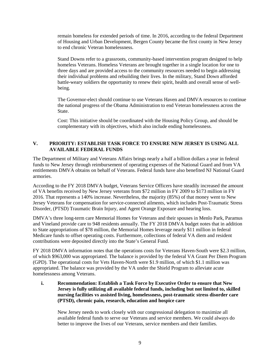remain homeless for extended periods of time. In 2016, according to the federal Department of Housing and Urban Development, Bergen County became the first county in New Jersey to end chronic Veteran homelessness.

Stand Downs refer to a grassroots, community-based intervention program designed to help homeless Veterans. Homeless Veterans are brought together in a single location for one to three days and are provided access to the community resources needed to begin addressing their individual problems and rebuilding their lives. In the military, Stand Down afforded battle-weary soldiers the opportunity to renew their spirit, health and overall sense of wellbeing.

The Governor-elect should continue to use Veterans Haven and DMVA resources to continue the national progress of the Obama Administration to end Veteran homelessness across the State.

Cost: This initiative should be coordinated with the Housing Policy Group, and should be complementary with its objectives, which also include ending homelessness.

## **V. PRIORITY: ESTABLISH TASK FORCE TO ENSURE NEW JERSEY IS USING ALL AVAILABLE FEDERAL FUNDS**

The Department of Military and Veterans Affairs brings nearly a half a billion dollars a year in federal funds to New Jersey through reimbursement of operating expenses of the National Guard and from VA entitlements DMVA obtains on behalf of Veterans. Federal funds have also benefited NJ National Guard armories.

According to the FY 2018 DMVA budget, Veterans Service Officers have steadily increased the amount of VA benefits received by New Jersey veterans from \$72 million in FY 2009 to \$173 million in FY 2016. That represents a 140% increase. Nevertheless, the majority (85%) of that money went to New Jersey Veterans for compensation for service-connected ailments, which includes Post-Traumatic Stress Disorder, (PTSD) Traumatic Brain Injury, and Agent Orange Exposure and hearing loss.

DMVA's three long-term care Memorial Homes for Veterans and their spouses in Menlo Park, Paramus and Vineland provide care to 948 residents annually. The FY 2018 DMVA budget notes that in addition to State appropriations of \$78 million, the Memorial Homes leverage nearly \$11 million in federal Medicare funds to offset operating costs. Furthermore, collections of federal VA diem and resident contributions were deposited directly into the State's General Fund.

FY 2018 DMVA information notes that the operations costs for Veterans Haven-South were \$2.3 million, of which \$963,000 was appropriated. The balance is provided by the federal VA Grant Per Diem Program (GPD). The operational costs for Vets Haven-North were \$1.9 million, of which \$1.1 million was appropriated. The balance was provided by the VA under the Shield Program to alleviate acute homelessness among Veterans.

**i. Recommendation: Establish a Task Force by Executive Order to ensure that New Jersey is fully utilizing all available federal funds, including but not limited to, skilled nursing facilities vs assisted living, homelessness, post-traumatic stress disorder care (PTSD), chronic pain, research, education and hospice care**

New Jersey needs to work closely with our congressional delegation to maximize all available federal funds to serve our Veterans and service members. We could always do better to improve the lives of our Veterans, service members and their families.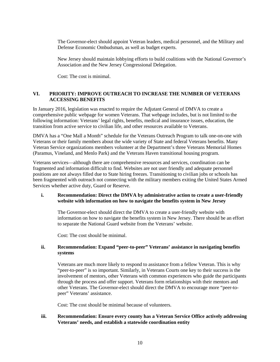The Governor-elect should appoint Veteran leaders, medical personnel, and the Military and Defense Economic Ombudsman, as well as budget experts.

New Jersey should maintain lobbying efforts to build coalitions with the National Governor's Association and the New Jersey Congressional Delegation.

Cost: The cost is minimal.

#### **VI. PRIORITY: IMPROVE OUTREACH TO INCREASE THE NUMBER OF VETERANS ACCESSING BENEFITS**

In January 2016, legislation was enacted to require the Adjutant General of DMVA to create a comprehensive public webpage for women Veterans. That webpage includes, but is not limited to the following information: Veterans' legal rights, benefits, medical and insurance issues, education, the transition from active service to civilian life, and other resources available to Veterans.

DMVA has a "One Mall a Month" schedule for the Veterans Outreach Program to talk one-on-one with Veterans or their family members about the wide variety of State and federal Veterans benefits. Many Veteran Service organizations members volunteer at the Department's three Veterans Memorial Homes (Paramus, Vineland, and Menlo Park) and the Veterans Haven transitional housing program.

Veterans services—although there are comprehensive resources and services, coordination can be fragmented and information difficult to find. Websites are not user friendly and adequate personnel positions are not always filled due to State hiring freezes. Transitioning to civilian jobs or schools has been fragmented with outreach not connecting with the military members exiting the United States Armed Services whether active duty, Guard or Reserve.

## **i. Recommendation: Direct the DMVA by administrative action to create a user-friendly website with information on how to navigate the benefits system in New Jersey**

The Governor-elect should direct the DMVA to create a user-friendly website with information on how to navigate the benefits system in New Jersey. There should be an effort to separate the National Guard website from the Veterans' website.

Cost: The cost should be minimal.

#### **ii. Recommendation: Expand "peer-to-peer" Veterans' assistance in navigating benefits systems**

Veterans are much more likely to respond to assistance from a fellow Veteran. This is why "peer-to-peer" is so important. Similarly, in Veterans Courts one key to their success is the involvement of mentors, other Veterans with common experiences who guide the participants through the process and offer support. Veterans form relationships with their mentors and other Veterans. The Governor-elect should direct the DMVA to encourage more "peer-topeer" Veterans' assistance.

Cost: The cost should be minimal because of volunteers.

### **iii. Recommendation: Ensure every county has a Veteran Service Office actively addressing Veterans' needs, and establish a statewide coordination entity**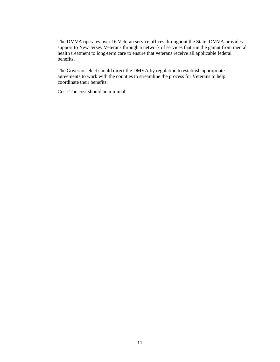The DMVA operates over 16 Veteran service offices throughout the State. DMVA provides support to New Jersey Veterans through a network of services that run the gamut from mental health treatment to long-term care to ensure that veterans receive all applicable federal benefits.

The Governor-elect should direct the DMVA by regulation to establish appropriate agreements to work with the counties to streamline the process for Veterans to help coordinate their benefits.

Cost: The cost should be minimal.